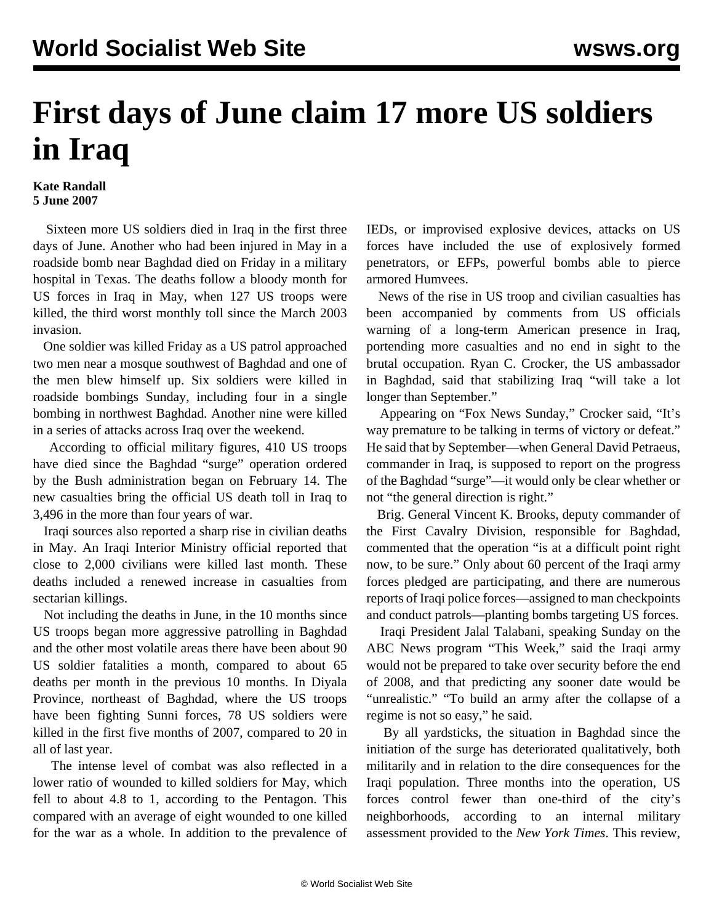## **First days of June claim 17 more US soldiers in Iraq**

## **Kate Randall 5 June 2007**

 Sixteen more US soldiers died in Iraq in the first three days of June. Another who had been injured in May in a roadside bomb near Baghdad died on Friday in a military hospital in Texas. The deaths follow a bloody month for US forces in Iraq in May, when 127 US troops were killed, the third worst monthly toll since the March 2003 invasion.

 One soldier was killed Friday as a US patrol approached two men near a mosque southwest of Baghdad and one of the men blew himself up. Six soldiers were killed in roadside bombings Sunday, including four in a single bombing in northwest Baghdad. Another nine were killed in a series of attacks across Iraq over the weekend.

 According to official military figures, 410 US troops have died since the Baghdad "surge" operation ordered by the Bush administration began on February 14. The new casualties bring the official US death toll in Iraq to 3,496 in the more than four years of war.

 Iraqi sources also reported a sharp rise in civilian deaths in May. An Iraqi Interior Ministry official reported that close to 2,000 civilians were killed last month. These deaths included a renewed increase in casualties from sectarian killings.

 Not including the deaths in June, in the 10 months since US troops began more aggressive patrolling in Baghdad and the other most volatile areas there have been about 90 US soldier fatalities a month, compared to about 65 deaths per month in the previous 10 months. In Diyala Province, northeast of Baghdad, where the US troops have been fighting Sunni forces, 78 US soldiers were killed in the first five months of 2007, compared to 20 in all of last year.

 The intense level of combat was also reflected in a lower ratio of wounded to killed soldiers for May, which fell to about 4.8 to 1, according to the Pentagon. This compared with an average of eight wounded to one killed for the war as a whole. In addition to the prevalence of IEDs, or improvised explosive devices, attacks on US forces have included the use of explosively formed penetrators, or EFPs, powerful bombs able to pierce armored Humvees.

 News of the rise in US troop and civilian casualties has been accompanied by comments from US officials warning of a long-term American presence in Iraq, portending more casualties and no end in sight to the brutal occupation. Ryan C. Crocker, the US ambassador in Baghdad, said that stabilizing Iraq "will take a lot longer than September."

 Appearing on "Fox News Sunday," Crocker said, "It's way premature to be talking in terms of victory or defeat." He said that by September—when General David Petraeus, commander in Iraq, is supposed to report on the progress of the Baghdad "surge"—it would only be clear whether or not "the general direction is right."

 Brig. General Vincent K. Brooks, deputy commander of the First Cavalry Division, responsible for Baghdad, commented that the operation "is at a difficult point right now, to be sure." Only about 60 percent of the Iraqi army forces pledged are participating, and there are numerous reports of Iraqi police forces—assigned to man checkpoints and conduct patrols—planting bombs targeting US forces.

 Iraqi President Jalal Talabani, speaking Sunday on the ABC News program "This Week," said the Iraqi army would not be prepared to take over security before the end of 2008, and that predicting any sooner date would be "unrealistic." "To build an army after the collapse of a regime is not so easy," he said.

 By all yardsticks, the situation in Baghdad since the initiation of the surge has deteriorated qualitatively, both militarily and in relation to the dire consequences for the Iraqi population. Three months into the operation, US forces control fewer than one-third of the city's neighborhoods, according to an internal military assessment provided to the *New York Times*. This review,